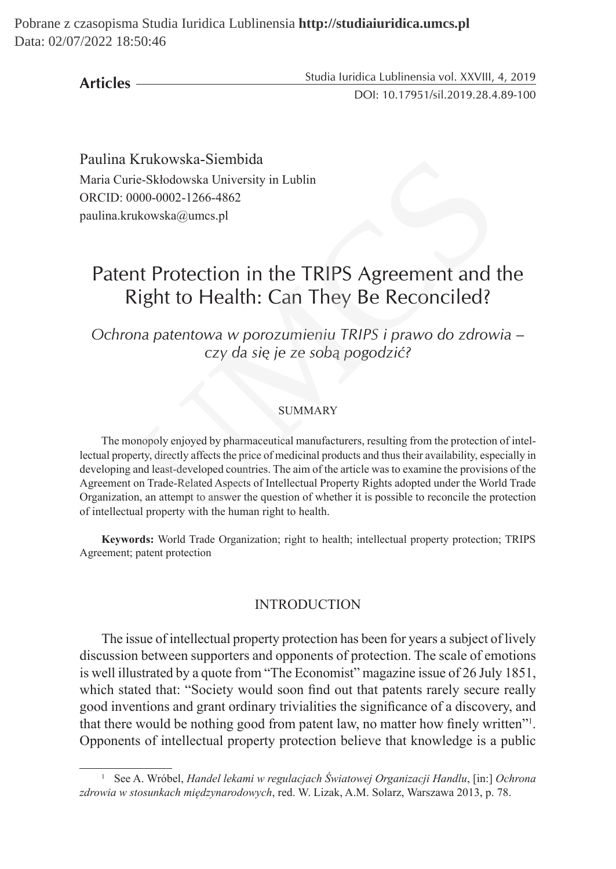**Articles**

Studia Iuridica Lublinensia vol. XXVIII, 4, 2019 DOI: 10.17951/sil.2019.28.4.89-100

Paulina Krukowska-Siembida Maria Curie-Skłodowska University in Lublin ORCID: 0000-0002-1266-4862 paulina.krukowska@umcs.pl

# Patent Protection in the TRIPS Agreement and the Right to Health: Can They Be Reconciled?

*Ochrona patentowa w porozumieniu TRIPS i prawo do zdrowia – czy da się je ze sobą pogodzić?*

#### SUMMARY

The monopoly enjoyed by pharmaceutical manufacturers, resulting from the protection of intellectual property, directly affects the price of medicinal products and thus their availability, especially in developing and least-developed countries. The aim of the article was to examine the provisions of the Agreement on Trade-Related Aspects of Intellectual Property Rights adopted under the World Trade Organization, an attempt to answer the question of whether it is possible to reconcile the protection of intellectual property with the human right to health. Krukowska-Siembida<br>
rie-Skłodowska University in Lublin<br>
0000-0002-1266-4862<br>
rukowska@umcs.pl<br>
1 **nt Protection in the TRIPS Agreement and transferse to the UMC Signal of the TRIPS Agreement and transferse to the distribu** 

**Keywords:** World Trade Organization; right to health; intellectual property protection; TRIPS Agreement; patent protection

#### **INTRODUCTION**

The issue of intellectual property protection has been for years a subject of lively discussion between supporters and opponents of protection. The scale of emotions is well illustrated by a quote from "The Economist" magazine issue of 26 July 1851, which stated that: "Society would soon find out that patents rarely secure really good inventions and grant ordinary trivialities the significance of a discovery, and that there would be nothing good from patent law, no matter how finely written"<sup>1</sup> . Opponents of intellectual property protection believe that knowledge is a public

<sup>1</sup> See A. Wróbel, *Handel lekami w regulacjach Światowej Organizacji Handlu*, [in:] *Ochrona zdrowia w stosunkach międzynarodowych*, red. W. Lizak, A.M. Solarz, Warszawa 2013, p. 78.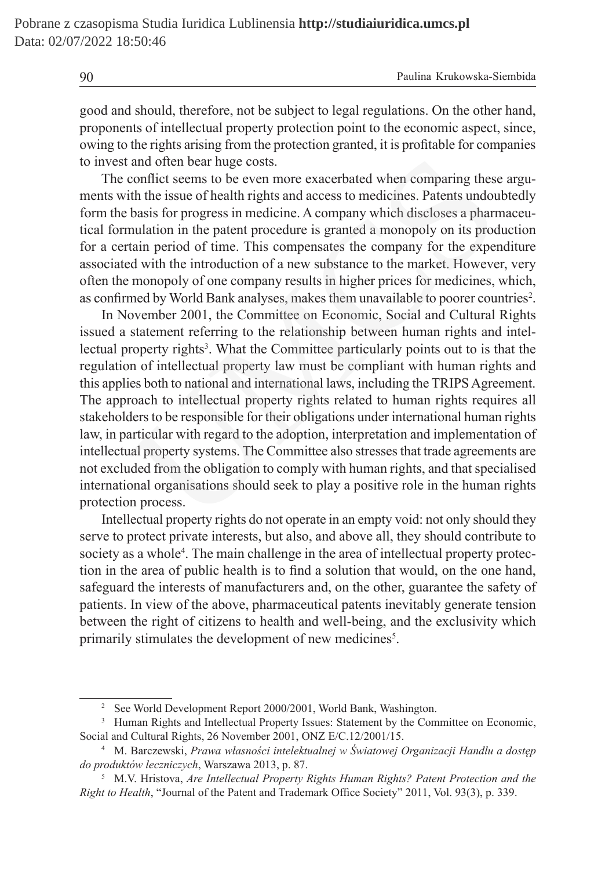good and should, therefore, not be subject to legal regulations. On the other hand, proponents of intellectual property protection point to the economic aspect, since, owing to the rights arising from the protection granted, it is profitable for companies to invest and often bear huge costs.

The conflict seems to be even more exacerbated when comparing these arguments with the issue of health rights and access to medicines. Patents undoubtedly form the basis for progress in medicine. A company which discloses a pharmaceutical formulation in the patent procedure is granted a monopoly on its production for a certain period of time. This compensates the company for the expenditure associated with the introduction of a new substance to the market. However, very often the monopoly of one company results in higher prices for medicines, which, as confirmed by World Bank analyses, makes them unavailable to poorer countries<sup>2</sup>.

In November 2001, the Committee on Economic, Social and Cultural Rights issued a statement referring to the relationship between human rights and intellectual property rights<sup>3</sup>. What the Committee particularly points out to is that the regulation of intellectual property law must be compliant with human rights and this applies both to national and international laws, including the TRIPS Agreement. The approach to intellectual property rights related to human rights requires all stakeholders to be responsible for their obligations under international human rights law, in particular with regard to the adoption, interpretation and implementation of intellectual property systems. The Committee also stresses that trade agreements are not excluded from the obligation to comply with human rights, and that specialised international organisations should seek to play a positive role in the human rights protection process. and often bear huge costs.<br>conflict seems to be even more exacerbated when comparing these<br>tith the issue of health rights and access to medicines. Patents undou<br>this the issue of health rights and access to medicines. Pat

Intellectual property rights do not operate in an empty void: not only should they serve to protect private interests, but also, and above all, they should contribute to society as a whole<sup>4</sup>. The main challenge in the area of intellectual property protection in the area of public health is to find a solution that would, on the one hand, safeguard the interests of manufacturers and, on the other, guarantee the safety of patients. In view of the above, pharmaceutical patents inevitably generate tension between the right of citizens to health and well-being, and the exclusivity which primarily stimulates the development of new medicines<sup>5</sup>.

<sup>2</sup> See World Development Report 2000/2001, World Bank, Washington.

<sup>&</sup>lt;sup>3</sup> Human Rights and Intellectual Property Issues: Statement by the Committee on Economic, Social and Cultural Rights, 26 November 2001, ONZ E/C.12/2001/15.

<sup>4</sup> M. Barczewski, *Prawa własności intelektualnej w Światowej Organizacji Handlu a dostęp do produktów leczniczych*, Warszawa 2013, p. 87.

<sup>5</sup> M.V. Hristova, *Are Intellectual Property Rights Human Rights? Patent Protection and the Right to Health*, "Journal of the Patent and Trademark Office Society" 2011, Vol. 93(3), p. 339.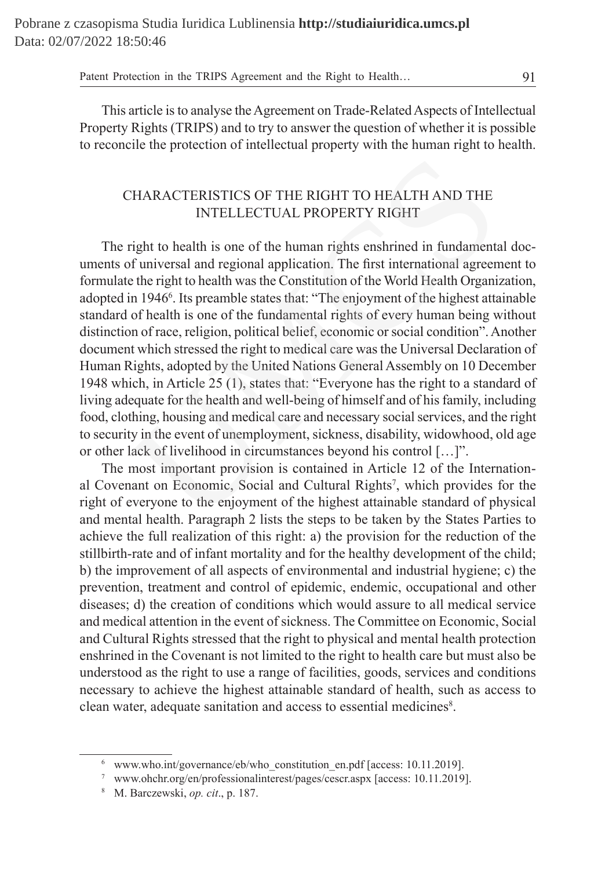Patent Protection in the TRIPS Agreement and the Right to Health... 91

This article is to analyse the Agreement on Trade-Related Aspects of Intellectual Property Rights (TRIPS) and to try to answer the question of whether it is possible to reconcile the protection of intellectual property with the human right to health.

## CHARACTERISTICS OF THE RIGHT TO HEALTH AND THE INTELLECTUAL PROPERTY RIGHT

The right to health is one of the human rights enshrined in fundamental documents of universal and regional application. The first international agreement to formulate the right to health was the Constitution of the World Health Organization, adopted in 1946<sup>6</sup>. Its preamble states that: "The enjoyment of the highest attainable standard of health is one of the fundamental rights of every human being without distinction of race, religion, political belief, economic or social condition". Another document which stressed the right to medical care was the Universal Declaration of Human Rights, adopted by the United Nations General Assembly on 10 December 1948 which, in Article 25 (1), states that: "Everyone has the right to a standard of living adequate for the health and well-being of himself and of his family, including food, clothing, housing and medical care and necessary social services, and the right to security in the event of unemployment, sickness, disability, widowhood, old age or other lack of livelihood in circumstances beyond his control […]". CHARACTERISTICS OF THE RIGHT TO HEALTH AND THE<br>INTELLECTUAL PROPERTY RIGHT<br>Inght to health is one of the human rights enshrined in fundament<br>of universal and regional application. The first international agreen<br>e the right

The most important provision is contained in Article 12 of the International Covenant on Economic, Social and Cultural Rights<sup>7</sup>, which provides for the right of everyone to the enjoyment of the highest attainable standard of physical and mental health. Paragraph 2 lists the steps to be taken by the States Parties to achieve the full realization of this right: a) the provision for the reduction of the stillbirth-rate and of infant mortality and for the healthy development of the child; b) the improvement of all aspects of environmental and industrial hygiene; c) the prevention, treatment and control of epidemic, endemic, occupational and other diseases; d) the creation of conditions which would assure to all medical service and medical attention in the event of sickness. The Committee on Economic, Social and Cultural Rights stressed that the right to physical and mental health protection enshrined in the Covenant is not limited to the right to health care but must also be understood as the right to use a range of facilities, goods, services and conditions necessary to achieve the highest attainable standard of health, such as access to clean water, adequate sanitation and access to essential medicines<sup>8</sup>.

<sup>&</sup>lt;sup>6</sup> www.who.int/governance/eb/who\_constitution\_en.pdf [access: 10.11.2019].

<sup>7</sup> www.ohchr.org/en/professionalinterest/pages/cescr.aspx [access: 10.11.2019].

<sup>8</sup> M. Barczewski, *op. cit*., p. 187.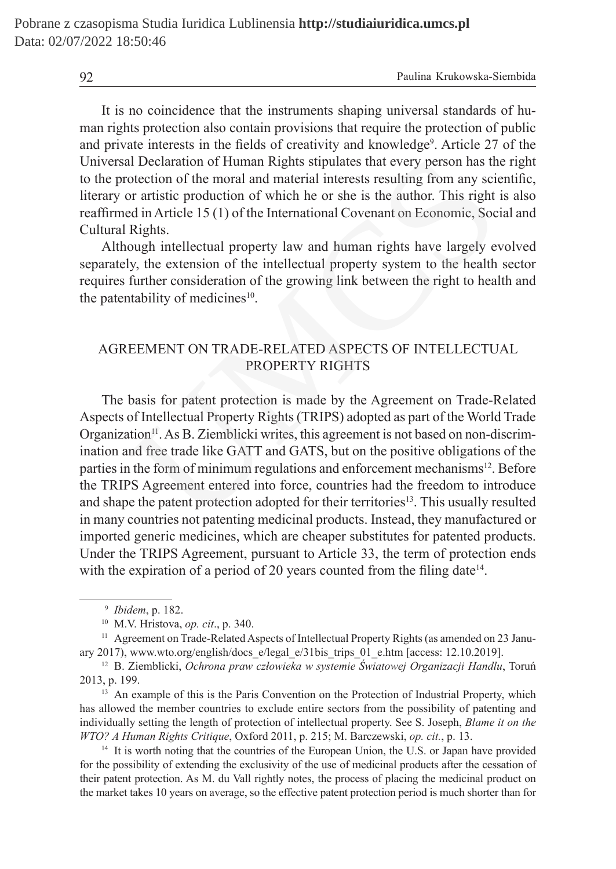It is no coincidence that the instruments shaping universal standards of human rights protection also contain provisions that require the protection of public and private interests in the fields of creativity and knowledge<sup>9</sup>. Article 27 of the Universal Declaration of Human Rights stipulates that every person has the right to the protection of the moral and material interests resulting from any scientific, literary or artistic production of which he or she is the author. This right is also reaffirmed in Article 15 (1) of the International Covenant on Economic, Social and Cultural Rights.

Although intellectual property law and human rights have largely evolved separately, the extension of the intellectual property system to the health sector requires further consideration of the growing link between the right to health and the patentability of medicines<sup>10</sup>.

# AGREEMENT ON TRADE-RELATED ASPECTS OF INTELLECTUAL PROPERTY RIGHTS

The basis for patent protection is made by the Agreement on Trade-Related Aspects of Intellectual Property Rights (TRIPS) adopted as part of the World Trade Organization<sup>11</sup>. As B. Ziemblicki writes, this agreement is not based on non-discrimination and free trade like GATT and GATS, but on the positive obligations of the parties in the form of minimum regulations and enforcement mechanisms<sup>12</sup>. Before the TRIPS Agreement entered into force, countries had the freedom to introduce and shape the patent protection adopted for their territories<sup>13</sup>. This usually resulted in many countries not patenting medicinal products. Instead, they manufactured or imported generic medicines, which are cheaper substitutes for patented products. Under the TRIPS Agreement, pursuant to Article 33, the term of protection ends with the expiration of a period of 20 years counted from the filing date<sup>14</sup>. Il Declaration of Human Rights stipulates that every person has the<br>otection of the moral and material interests resulting from any scion<br>artistic production of which he or she is the author. This right<br>del in Article 15 (

<sup>13</sup> An example of this is the Paris Convention on the Protection of Industrial Property, which has allowed the member countries to exclude entire sectors from the possibility of patenting and individually setting the length of protection of intellectual property. See S. Joseph, *Blame it on the WTO? A Human Rights Critique*, Oxford 2011, p. 215; M. Barczewski, *op. cit.*, p. 13.

<sup>14</sup> It is worth noting that the countries of the European Union, the U.S. or Japan have provided for the possibility of extending the exclusivity of the use of medicinal products after the cessation of their patent protection. As M. du Vall rightly notes, the process of placing the medicinal product on the market takes 10 years on average, so the effective patent protection period is much shorter than for

<sup>9</sup> *Ibidem*, p. 182.

<sup>10</sup> M.V. Hristova, *op. cit*., p. 340.

<sup>&</sup>lt;sup>11</sup> Agreement on Trade-Related Aspects of Intellectual Property Rights (as amended on 23 January 2017), www.wto.org/english/docs\_e/legal\_e/31bis\_trips\_01\_e.htm [access: 12.10.2019].

<sup>12</sup> B. Ziemblicki, *Ochrona praw człowieka w systemie Światowej Organizacji Handlu*, Toruń 2013, p. 199.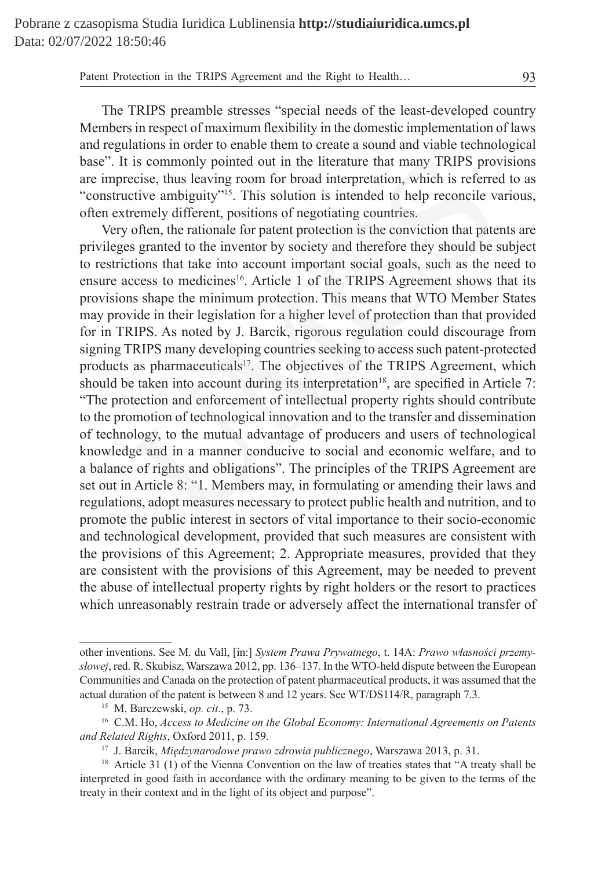Patent Protection in the TRIPS Agreement and the Right to Health... 93

The TRIPS preamble stresses "special needs of the least-developed country Members in respect of maximum flexibility in the domestic implementation of laws and regulations in order to enable them to create a sound and viable technological base". It is commonly pointed out in the literature that many TRIPS provisions are imprecise, thus leaving room for broad interpretation, which is referred to as "constructive ambiguity"15. This solution is intended to help reconcile various, often extremely different, positions of negotiating countries.

Very often, the rationale for patent protection is the conviction that patents are privileges granted to the inventor by society and therefore they should be subject to restrictions that take into account important social goals, such as the need to ensure access to medicines<sup>16</sup>. Article 1 of the TRIPS Agreement shows that its provisions shape the minimum protection. This means that WTO Member States may provide in their legislation for a higher level of protection than that provided for in TRIPS. As noted by J. Barcik, rigorous regulation could discourage from signing TRIPS many developing countries seeking to access such patent-protected products as pharmaceuticals $17$ . The objectives of the TRIPS Agreement, which should be taken into account during its interpretation<sup>18</sup>, are specified in Article 7: "The protection and enforcement of intellectual property rights should contribute to the promotion of technological innovation and to the transfer and dissemination of technology, to the mutual advantage of producers and users of technological knowledge and in a manner conducive to social and economic welfare, and to a balance of rights and obligations". The principles of the TRIPS Agreement are set out in Article 8: "1. Members may, in formulating or amending their laws and regulations, adopt measures necessary to protect public health and nutrition, and to promote the public interest in sectors of vital importance to their socio-economic and technological development, provided that such measures are consistent with the provisions of this Agreement; 2. Appropriate measures, provided that they are consistent with the provisions of this Agreement, may be needed to prevent the abuse of intellectual property rights by right holders or the resort to practices which unreasonably restrain trade or adversely affect the international transfer of is commonly pointed out in the literature that many TRIPS proceise, thus leaving room for broad interpretation, which is referre ctive ambiguity"<sup>15</sup>. This solution is intended to help reconcile viremely different, positio

other inventions. See M. du Vall, [in:] *System Prawa Prywatnego*, t. 14A: *Prawo własności przemysłowej*, red. R. Skubisz, Warszawa 2012, pp. 136–137. In the WTO-held dispute between the European Communities and Canada on the protection of patent pharmaceutical products, it was assumed that the actual duration of the patent is between 8 and 12 years. See WT/DS114/R, paragraph 7.3.

<sup>15</sup> M. Barczewski, *op. cit*., p. 73.

<sup>16</sup> C.M. Ho, *Access to Medicine on the Global Economy: International Agreements on Patents and Related Rights*, Oxford 2011, p. 159.

<sup>17</sup> J. Barcik, *Międzynarodowe prawo zdrowia publicznego*, Warszawa 2013, p. 31.

<sup>&</sup>lt;sup>18</sup> Article 31 (1) of the Vienna Convention on the law of treaties states that "A treaty shall be interpreted in good faith in accordance with the ordinary meaning to be given to the terms of the treaty in their context and in the light of its object and purpose".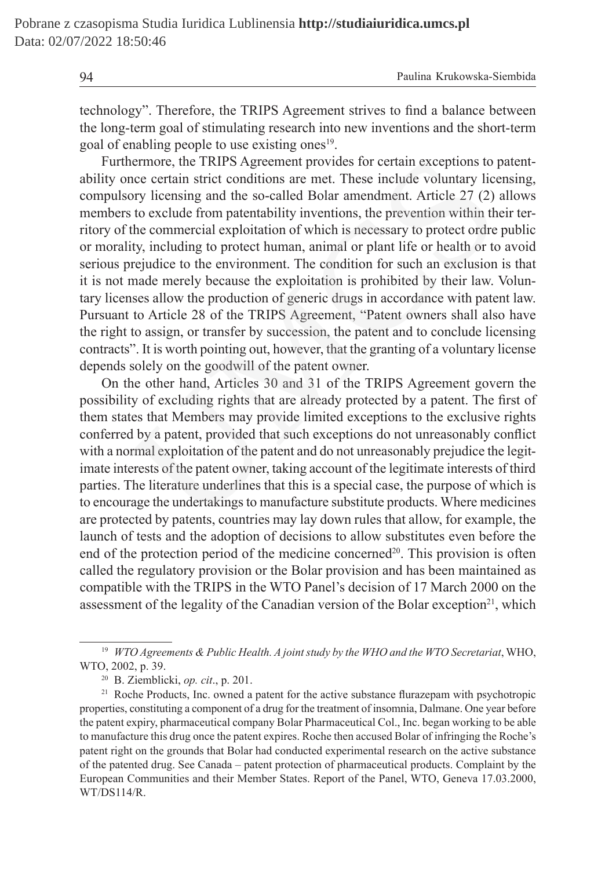technology". Therefore, the TRIPS Agreement strives to find a balance between the long-term goal of stimulating research into new inventions and the short-term goal of enabling people to use existing ones<sup>19</sup>.

Furthermore, the TRIPS Agreement provides for certain exceptions to patentability once certain strict conditions are met. These include voluntary licensing, compulsory licensing and the so-called Bolar amendment. Article 27 (2) allows members to exclude from patentability inventions, the prevention within their territory of the commercial exploitation of which is necessary to protect ordre public or morality, including to protect human, animal or plant life or health or to avoid serious prejudice to the environment. The condition for such an exclusion is that it is not made merely because the exploitation is prohibited by their law. Voluntary licenses allow the production of generic drugs in accordance with patent law. Pursuant to Article 28 of the TRIPS Agreement, "Patent owners shall also have the right to assign, or transfer by succession, the patent and to conclude licensing contracts". It is worth pointing out, however, that the granting of a voluntary license depends solely on the goodwill of the patent owner. nermore, the TRIPS Agreement provides for certain exceptions to joince certain strict conditions are met. These include voluntary lice ory licensing and the so-called Bolar amendment. Article 27 (2) to exclude from patenta

On the other hand, Articles 30 and 31 of the TRIPS Agreement govern the possibility of excluding rights that are already protected by a patent. The first of them states that Members may provide limited exceptions to the exclusive rights conferred by a patent, provided that such exceptions do not unreasonably conflict with a normal exploitation of the patent and do not unreasonably prejudice the legitimate interests of the patent owner, taking account of the legitimate interests of third parties. The literature underlines that this is a special case, the purpose of which is to encourage the undertakings to manufacture substitute products. Where medicines are protected by patents, countries may lay down rules that allow, for example, the launch of tests and the adoption of decisions to allow substitutes even before the end of the protection period of the medicine concerned<sup>20</sup>. This provision is often called the regulatory provision or the Bolar provision and has been maintained as compatible with the TRIPS in the WTO Panel's decision of 17 March 2000 on the assessment of the legality of the Canadian version of the Bolar exception<sup>21</sup>, which

<sup>19</sup> *WTO Agreements & Public Health. A joint study by the WHO and the WTO Secretariat*, WHO, WTO, 2002, p. 39.

<sup>20</sup> B. Ziemblicki, *op. cit*., p. 201.

<sup>&</sup>lt;sup>21</sup> Roche Products, Inc. owned a patent for the active substance flurazepam with psychotropic properties, constituting a component of a drug for the treatment of insomnia, Dalmane. One year before the patent expiry, pharmaceutical company Bolar Pharmaceutical Col., Inc. began working to be able to manufacture this drug once the patent expires. Roche then accused Bolar of infringing the Roche's patent right on the grounds that Bolar had conducted experimental research on the active substance of the patented drug. See Canada – patent protection of pharmaceutical products. Complaint by the European Communities and their Member States. Report of the Panel, WTO, Geneva 17.03.2000, WT/DS114/R.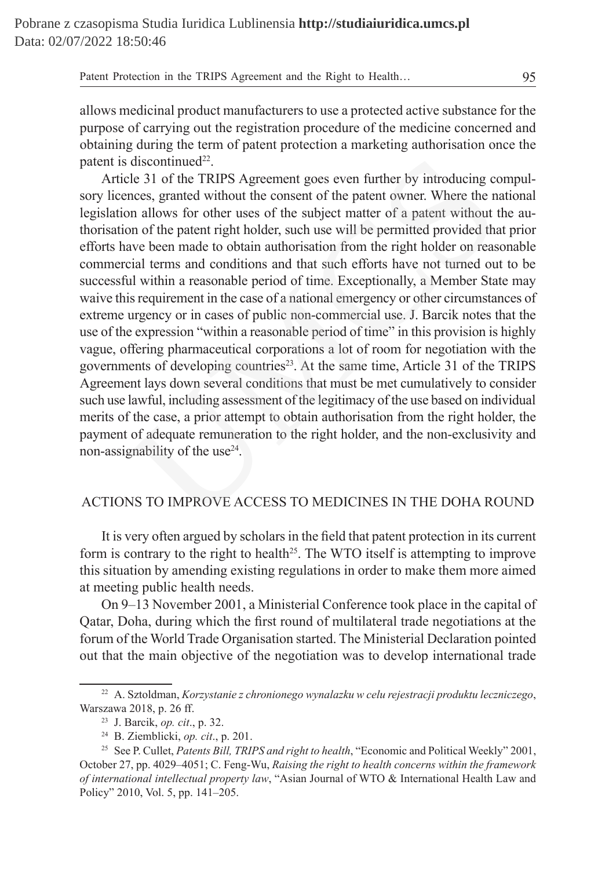Patent Protection in the TRIPS Agreement and the Right to Health… 95

allows medicinal product manufacturers to use a protected active substance for the purpose of carrying out the registration procedure of the medicine concerned and obtaining during the term of patent protection a marketing authorisation once the patent is discontinued $^{22}$ .

Article 31 of the TRIPS Agreement goes even further by introducing compulsory licences, granted without the consent of the patent owner. Where the national legislation allows for other uses of the subject matter of a patent without the authorisation of the patent right holder, such use will be permitted provided that prior efforts have been made to obtain authorisation from the right holder on reasonable commercial terms and conditions and that such efforts have not turned out to be successful within a reasonable period of time. Exceptionally, a Member State may waive this requirement in the case of a national emergency or other circumstances of extreme urgency or in cases of public non-commercial use. J. Barcik notes that the use of the expression "within a reasonable period of time" in this provision is highly vague, offering pharmaceutical corporations a lot of room for negotiation with the governments of developing countries<sup>23</sup>. At the same time, Article 31 of the TRIPS Agreement lays down several conditions that must be met cumulatively to consider such use lawful, including assessment of the legitimacy of the use based on individual merits of the case, a prior attempt to obtain authorisation from the right holder, the payment of adequate remuneration to the right holder, and the non-exclusivity and non-assignability of the use<sup>24</sup>. discontinued<sup>22</sup>.<br>
le 31 of the TRIPS Agreement goes even further by introducing c<br>
nees, granted without the consent of the patent owner. Where the n<br>
non allows for other uses of the subject matter of a patent without<br>

### ACTIONS TO IMPROVE ACCESS TO MEDICINES IN THE DOHA ROUND

It is very often argued by scholars in the field that patent protection in its current form is contrary to the right to health<sup>25</sup>. The WTO itself is attempting to improve this situation by amending existing regulations in order to make them more aimed at meeting public health needs.

On 9–13 November 2001, a Ministerial Conference took place in the capital of Qatar, Doha, during which the first round of multilateral trade negotiations at the forum of the World Trade Organisation started. The Ministerial Declaration pointed out that the main objective of the negotiation was to develop international trade

<sup>22</sup> A. Sztoldman, *Korzystanie z chronionego wynalazku w celu rejestracji produktu leczniczego*, Warszawa 2018, p. 26 ff.

<sup>23</sup> J. Barcik, *op. cit*., p. 32.

<sup>24</sup> B. Ziemblicki, *op. cit*., p. 201.

<sup>25</sup> See P. Cullet, *Patents Bill, TRIPS and right to health*, "Economic and Political Weekly" 2001, October 27, pp. 4029–4051; C. Feng-Wu, *Raising the right to health concerns within the framework of international intellectual property law*, "Asian Journal of WTO & International Health Law and Policy" 2010, Vol. 5, pp. 141–205.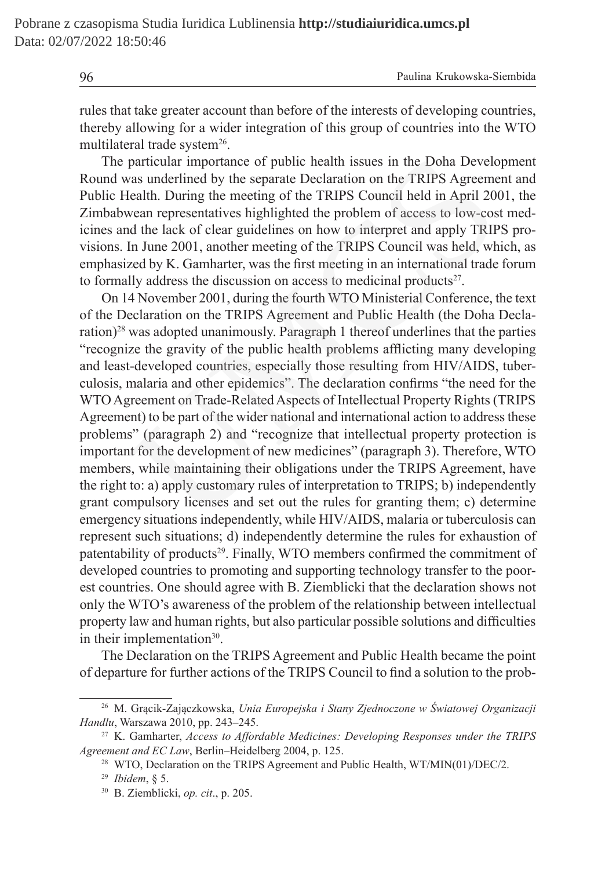rules that take greater account than before of the interests of developing countries, thereby allowing for a wider integration of this group of countries into the WTO multilateral trade system<sup>26</sup>.

The particular importance of public health issues in the Doha Development Round was underlined by the separate Declaration on the TRIPS Agreement and Public Health. During the meeting of the TRIPS Council held in April 2001, the Zimbabwean representatives highlighted the problem of access to low-cost medicines and the lack of clear guidelines on how to interpret and apply TRIPS provisions. In June 2001, another meeting of the TRIPS Council was held, which, as emphasized by K. Gamharter, was the first meeting in an international trade forum to formally address the discussion on access to medicinal products $2^7$ .

On 14 November 2001, during the fourth WTO Ministerial Conference, the text of the Declaration on the TRIPS Agreement and Public Health (the Doha Declaration)<sup>28</sup> was adopted unanimously. Paragraph 1 thereof underlines that the parties "recognize the gravity of the public health problems afflicting many developing and least-developed countries, especially those resulting from HIV/AIDS, tuberculosis, malaria and other epidemics". The declaration confirms "the need for the WTO Agreement on Trade-Related Aspects of Intellectual Property Rights (TRIPS Agreement) to be part of the wider national and international action to address these problems" (paragraph 2) and "recognize that intellectual property protection is important for the development of new medicines" (paragraph 3). Therefore, WTO members, while maintaining their obligations under the TRIPS Agreement, have the right to: a) apply customary rules of interpretation to TRIPS; b) independently grant compulsory licenses and set out the rules for granting them; c) determine emergency situations independently, while HIV/AIDS, malaria or tuberculosis can represent such situations; d) independently determine the rules for exhaustion of patentability of products<sup>29</sup>. Finally, WTO members confirmed the commitment of developed countries to promoting and supporting technology transfer to the poorest countries. One should agree with B. Ziemblicki that the declaration shows not only the WTO's awareness of the problem of the relationship between intellectual property law and human rights, but also particular possible solutions and difficulties in their implementation<sup>30</sup>. particular importance of public health issues in the Doha Develo<br>as underlined by the separate Declaration on the TRIPS Agreeme<br>fealth. During the meeting of the TRIPS Council held in April 20<br>wean representatives highligh

The Declaration on the TRIPS Agreement and Public Health became the point of departure for further actions of the TRIPS Council to find a solution to the prob-

<sup>26</sup> M. Grącik-Zajączkowska, *Unia Europejska i Stany Zjednoczone w Światowej Organizacji Handlu*, Warszawa 2010, pp. 243–245.

<sup>27</sup> K. Gamharter, *Access to Affordable Medicines: Developing Responses under the TRIPS Agreement and EC Law*, Berlin–Heidelberg 2004, p. 125.

<sup>&</sup>lt;sup>28</sup> WTO, Declaration on the TRIPS Agreement and Public Health, WT/MIN(01)/DEC/2.

<sup>29</sup> *Ibidem*, § 5.

<sup>30</sup> B. Ziemblicki, *op. cit*., p. 205.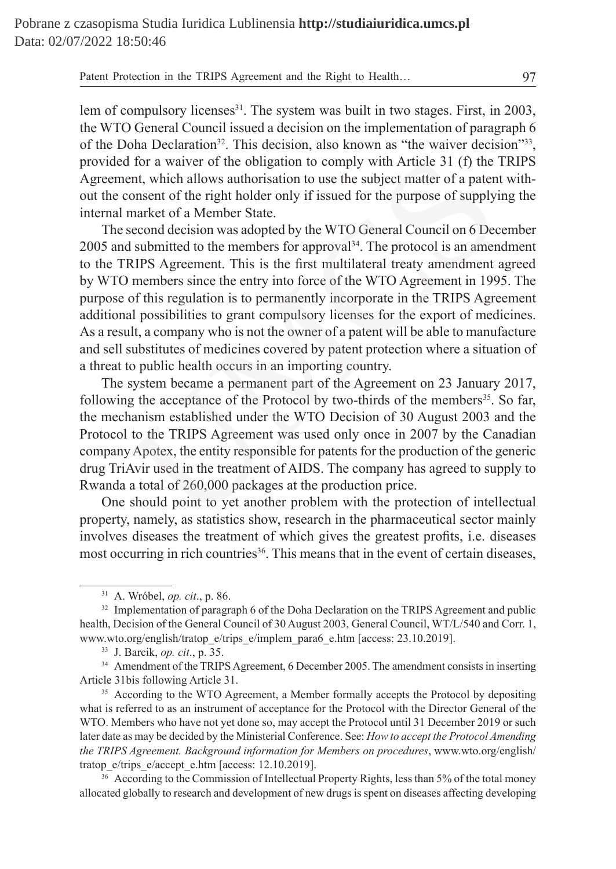Patent Protection in the TRIPS Agreement and the Right to Health… 97

the WTO General Council issued a decision on the implementation of paragraph 6 of the Doha Declaration<sup>32</sup>. This decision, also known as "the waiver decision"<sup>33</sup>, provided for a waiver of the obligation to comply with Article 31 (f) the TRIPS Agreement, which allows authorisation to use the subject matter of a patent without the consent of the right holder only if issued for the purpose of supplying the internal market of a Member State.

The second decision was adopted by the WTO General Council on 6 December  $2005$  and submitted to the members for approval<sup>34</sup>. The protocol is an amendment to the TRIPS Agreement. This is the first multilateral treaty amendment agreed by WTO members since the entry into force of the WTO Agreement in 1995. The purpose of this regulation is to permanently incorporate in the TRIPS Agreement additional possibilities to grant compulsory licenses for the export of medicines. As a result, a company who is not the owner of a patent will be able to manufacture and sell substitutes of medicines covered by patent protection where a situation of a threat to public health occurs in an importing country. I for a waiver of the obligation to comply with Article 31 (f) the<br>ent, which allows authorisation to use the subject matter of a paten<br>onsent of the right holder only if issued for the purpose of supplyi<br>market of a Memb

The system became a permanent part of the Agreement on 23 January 2017, following the acceptance of the Protocol by two-thirds of the members<sup>35</sup>. So far, the mechanism established under the WTO Decision of 30 August 2003 and the Protocol to the TRIPS Agreement was used only once in 2007 by the Canadian company Apotex, the entity responsible for patents for the production of the generic drug TriAvir used in the treatment of AIDS. The company has agreed to supply to Rwanda a total of 260,000 packages at the production price.

One should point to yet another problem with the protection of intellectual property, namely, as statistics show, research in the pharmaceutical sector mainly involves diseases the treatment of which gives the greatest profits, i.e. diseases most occurring in rich countries<sup>36</sup>. This means that in the event of certain diseases,

<sup>36</sup> According to the Commission of Intellectual Property Rights, less than 5% of the total money allocated globally to research and development of new drugs is spent on diseases affecting developing

<sup>31</sup> A. Wróbel, *op. cit*., p. 86.

<sup>&</sup>lt;sup>32</sup> Implementation of paragraph 6 of the Doha Declaration on the TRIPS Agreement and public health, Decision of the General Council of 30 August 2003, General Council, WT/L/540 and Corr. 1, www.wto.org/english/tratop\_e/trips\_e/implem\_para6\_e.htm [access: 23.10.2019].

<sup>33</sup> J. Barcik, *op. cit*., p. 35.

<sup>&</sup>lt;sup>34</sup> Amendment of the TRIPS Agreement, 6 December 2005. The amendment consists in inserting Article 31bis following Article 31.

<sup>&</sup>lt;sup>35</sup> According to the WTO Agreement, a Member formally accepts the Protocol by depositing what is referred to as an instrument of acceptance for the Protocol with the Director General of the WTO. Members who have not yet done so, may accept the Protocol until 31 December 2019 or such later date as may be decided by the Ministerial Conference. See: *How to accept the Protocol Amending the TRIPS Agreement. Background information for Members on procedures*, www.wto.org/english/ tratop\_e/trips\_e/accept\_e.htm [access: 12.10.2019].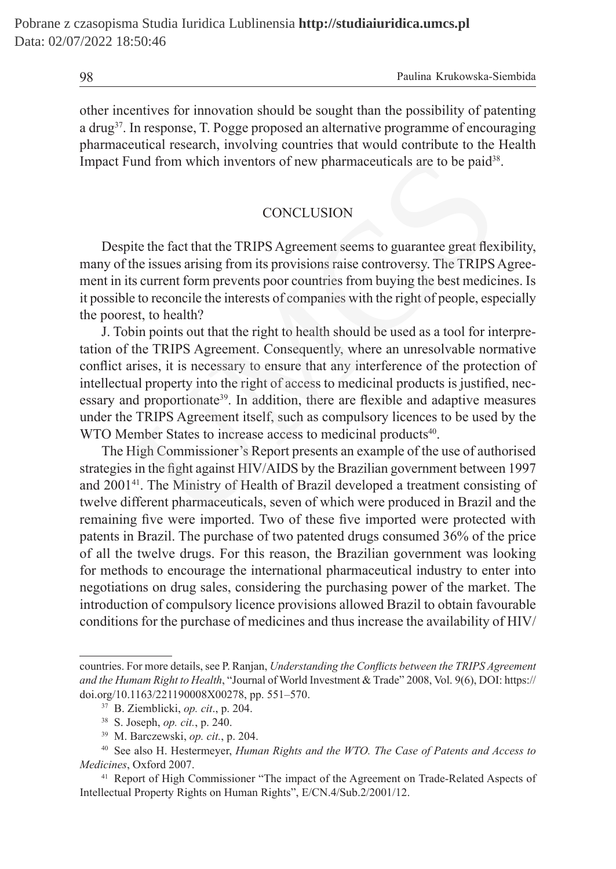other incentives for innovation should be sought than the possibility of patenting a drug<sup>37</sup>. In response, T. Pogge proposed an alternative programme of encouraging pharmaceutical research, involving countries that would contribute to the Health Impact Fund from which inventors of new pharmaceuticals are to be paid<sup>38</sup>.

### **CONCLUSION**

Despite the fact that the TRIPS Agreement seems to guarantee great flexibility, many of the issues arising from its provisions raise controversy. The TRIPS Agreement in its current form prevents poor countries from buying the best medicines. Is it possible to reconcile the interests of companies with the right of people, especially the poorest, to health?

J. Tobin points out that the right to health should be used as a tool for interpretation of the TRIPS Agreement. Consequently, where an unresolvable normative conflict arises, it is necessary to ensure that any interference of the protection of intellectual property into the right of access to medicinal products is justified, necessary and proportionate<sup>39</sup>. In addition, there are flexible and adaptive measures under the TRIPS Agreement itself, such as compulsory licences to be used by the WTO Member States to increase access to medicinal products<sup>40</sup>. <sup>2</sup>iund from which inventors of new pharmaceuticals are to be paid<sup>38</sup><br>CONCLUSION<br>CONCLUSION<br>tie the fact that the TRIPS Agreement seems to guarantee great flex<br>the issues arising from its provisions raise controversy. The

The High Commissioner's Report presents an example of the use of authorised strategies in the fight against HIV/AIDS by the Brazilian government between 1997 and 200141. The Ministry of Health of Brazil developed a treatment consisting of twelve different pharmaceuticals, seven of which were produced in Brazil and the remaining five were imported. Two of these five imported were protected with patents in Brazil. The purchase of two patented drugs consumed 36% of the price of all the twelve drugs. For this reason, the Brazilian government was looking for methods to encourage the international pharmaceutical industry to enter into negotiations on drug sales, considering the purchasing power of the market. The introduction of compulsory licence provisions allowed Brazil to obtain favourable conditions for the purchase of medicines and thus increase the availability of HIV/

countries. For more details, see P. Ranjan, *Understanding the Conflicts between the TRIPS Agreement and the Humam Right to Health*, "Journal of World Investment & Trade" 2008, Vol. 9(6), DOI: https:// doi.org/10.1163/221190008X00278, pp. 551–570.

<sup>37</sup> B. Ziemblicki, *op. cit*., p. 204.

<sup>38</sup> S. Joseph, *op. cit.*, p. 240.

<sup>39</sup> M. Barczewski, *op. cit.*, p. 204.

<sup>40</sup> See also H. Hestermeyer, *Human Rights and the WTO. The Case of Patents and Access to Medicines*, Oxford 2007.

<sup>41</sup> Report of High Commissioner "The impact of the Agreement on Trade-Related Aspects of Intellectual Property Rights on Human Rights", E/CN.4/Sub.2/2001/12.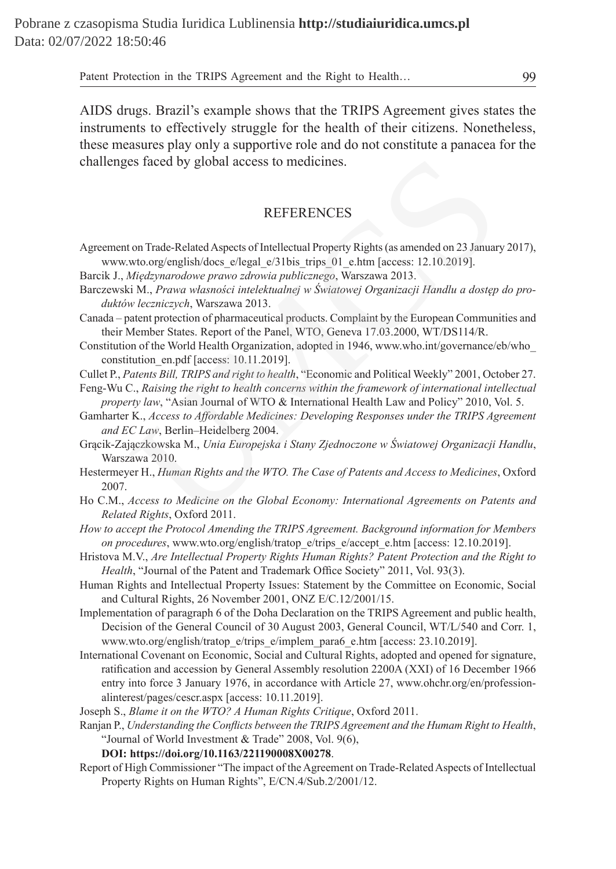Patent Protection in the TRIPS Agreement and the Right to Health… 99

AIDS drugs. Brazil's example shows that the TRIPS Agreement gives states the instruments to effectively struggle for the health of their citizens. Nonetheless, these measures play only a supportive role and do not constitute a panacea for the challenges faced by global access to medicines.

### **REFERENCES**

- Agreement on Trade-Related Aspects of Intellectual Property Rights (as amended on 23 January 2017), www.wto.org/english/docs\_e/legal\_e/31bis\_trips\_01\_e.htm [access: 12.10.2019].
- Barcik J., *Międzynarodowe prawo zdrowia publicznego*, Warszawa 2013.
- Barczewski M., *Prawa własności intelektualnej w Światowej Organizacji Handlu a dostęp do produktów leczniczych*, Warszawa 2013.

Canada – patent protection of pharmaceutical products. Complaint by the European Communities and their Member States. Report of the Panel, WTO, Geneva 17.03.2000, WT/DS114/R.

- Constitution of the World Health Organization, adopted in 1946, www.who.int/governance/eb/who\_ constitution\_en.pdf [access: 10.11.2019].
- Cullet P., *Patents Bill, TRIPS and right to health*, "Economic and Political Weekly" 2001, October 27.
- Feng-Wu C., *Raising the right to health concerns within the framework of international intellectual property law*, "Asian Journal of WTO & International Health Law and Policy" 2010, Vol. 5. es faced by global access to medicines.<br>
REFERENCES<br>
ton Trade-Related Aspects of Intellectual Property Rights (as amended on 23 Januar<br>
wto.org/english/docs\_c/legal\_e/31bis\_trips\_01\_e.htm [access: 12.10.2019].<br>
Migdzynaro
- Gamharter K., *Access to Affordable Medicines: Developing Responses under the TRIPS Agreement and EC Law*, Berlin–Heidelberg 2004.

Grącik-Zajączkowska M., *Unia Europejska i Stany Zjednoczone w Światowej Organizacji Handlu*, Warszawa 2010.

- Hestermeyer H., *Human Rights and the WTO. The Case of Patents and Access to Medicines*, Oxford 2007.
- Ho C.M., *Access to Medicine on the Global Economy: International Agreements on Patents and Related Rights*, Oxford 2011.
- *How to accept the Protocol Amending the TRIPS Agreement. Background information for Members on procedures*, www.wto.org/english/tratop\_e/trips\_e/accept\_e.htm [access: 12.10.2019].
- Hristova M.V., *Are Intellectual Property Rights Human Rights? Patent Protection and the Right to Health*, "Journal of the Patent and Trademark Office Society" 2011, Vol. 93(3).
- Human Rights and Intellectual Property Issues: Statement by the Committee on Economic, Social and Cultural Rights, 26 November 2001, ONZ E/C.12/2001/15.
- Implementation of paragraph 6 of the Doha Declaration on the TRIPS Agreement and public health, Decision of the General Council of 30 August 2003, General Council, WT/L/540 and Corr. 1, www.wto.org/english/tratop\_e/trips\_e/implem\_para6\_e.htm [access: 23.10.2019].
- International Covenant on Economic, Social and Cultural Rights, adopted and opened for signature, ratification and accession by General Assembly resolution 2200A (XXI) of 16 December 1966 entry into force 3 January 1976, in accordance with Article 27, www.ohchr.org/en/professionalinterest/pages/cescr.aspx [access: 10.11.2019].
- Joseph S., *Blame it on the WTO? A Human Rights Critique*, Oxford 2011.
- Ranjan P., *Understanding the Conflicts between the TRIPS Agreement and the Humam Right to Health*, "Journal of World Investment & Trade" 2008, Vol. 9(6),

**DOI: https://doi.org/10.1163/221190008X00278**.

Report of High Commissioner "The impact of the Agreement on Trade-Related Aspects of Intellectual Property Rights on Human Rights", E/CN.4/Sub.2/2001/12.